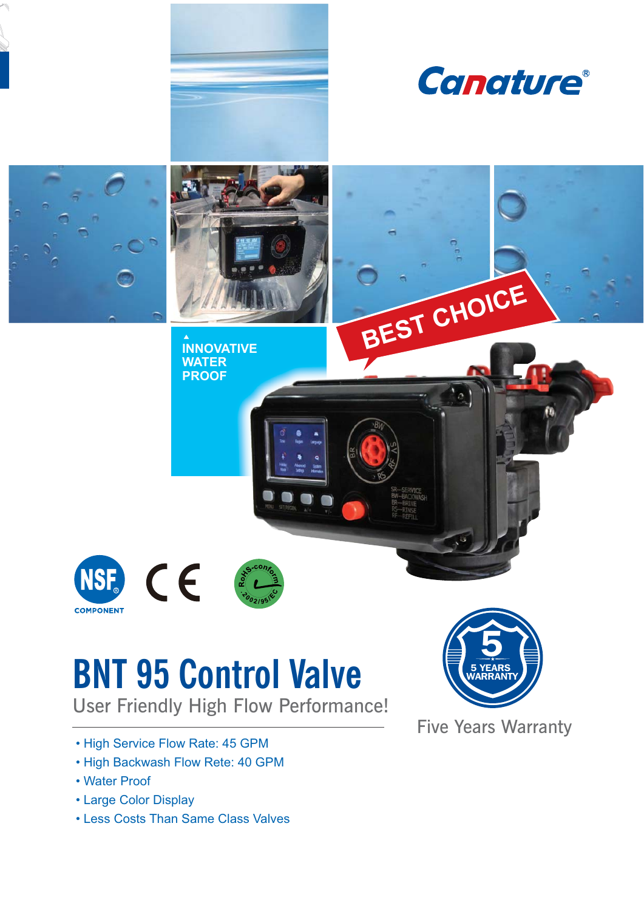

# **BNT 95 Control Valve**

User Friendly High Flow Performance!

- High Service Flow Rate: 45 GPM
- High Backwash Flow Rete: 40 GPM
- Water Proof
- Large Color Display
- Less Costs Than Same Class Valves



**Five Years Warranty**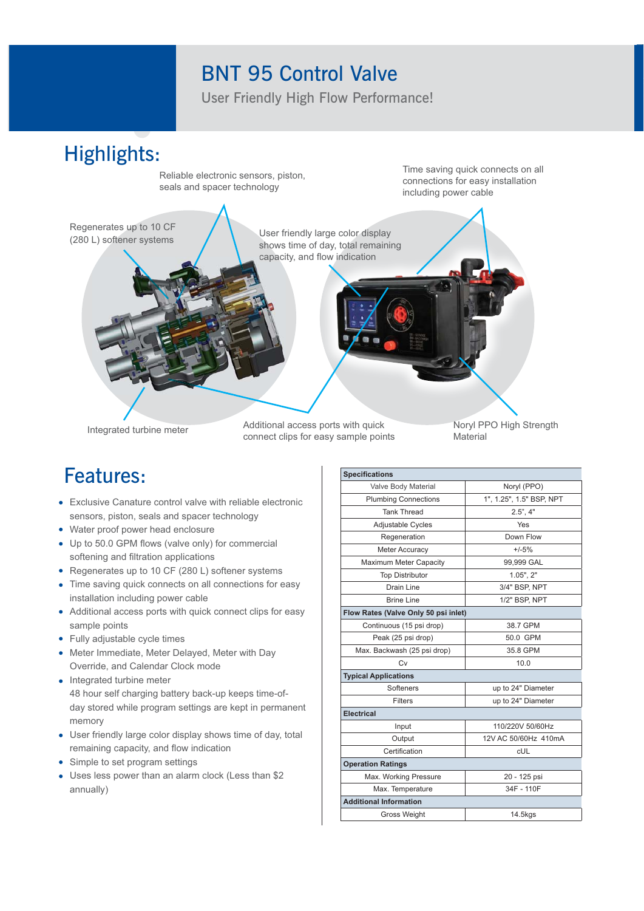## **BNT 95 Control Valve**

User Friendly High Flow Performance!

### **Highlights:** Time saving quick connects on all Reliable electronic sensors, piston, connections for easy installation seals and spacer technology including power cable Regenerates up to 10 CF User friendly large color display (280 L) softener systems shows time of day, total remaining capacity, and flow indication Noryl PPO High Strength Additional access ports with quick Integrated turbine meter

connect clips for easy sample points

## **Features:**

- Exclusive Canature control valve with reliable electronic sensors, piston, seals and spacer technology
- Water proof power head enclosure
- Up to 50.0 GPM flows (valve only) for commercial softening and filtration applications
- Regenerates up to 10 CF (280 L) softener systems
- Time saving quick connects on all connections for easy installation including power cable
- Additional access ports with quick connect clips for easy sample points
- Fully adjustable cycle times
- Meter Immediate, Meter Delayed, Meter with Day Override, and Calendar Clock mode
- Integrated turbine meter 48 hour self charging battery back-up keeps time-ofday stored while program settings are kept in permanent memory
- User friendly large color display shows time of day, total remaining capacity, and flow indication
- Simple to set program settings
- Uses less power than an alarm clock (Less than \$2 annually)

| <b>Specifications</b>                |                          |  |  |  |  |  |  |  |
|--------------------------------------|--------------------------|--|--|--|--|--|--|--|
| Valve Body Material                  | Noryl (PPO)              |  |  |  |  |  |  |  |
| <b>Plumbing Connections</b>          | 1", 1.25", 1.5" BSP, NPT |  |  |  |  |  |  |  |
| <b>Tank Thread</b>                   | $2.5$ ", $4$ "           |  |  |  |  |  |  |  |
| Adjustable Cycles                    | Yes                      |  |  |  |  |  |  |  |
| Regeneration                         | Down Flow                |  |  |  |  |  |  |  |
| <b>Meter Accuracy</b>                | $+/-5%$                  |  |  |  |  |  |  |  |
| Maximum Meter Capacity               | 99,999 GAL               |  |  |  |  |  |  |  |
| <b>Top Distributor</b>               | $1.05$ ", $2$ "          |  |  |  |  |  |  |  |
| Drain Line                           | 3/4" BSP, NPT            |  |  |  |  |  |  |  |
| <b>Brine Line</b>                    | 1/2" BSP, NPT            |  |  |  |  |  |  |  |
| Flow Rates (Valve Only 50 psi inlet) |                          |  |  |  |  |  |  |  |
| Continuous (15 psi drop)             | 38.7 GPM                 |  |  |  |  |  |  |  |
| Peak (25 psi drop)                   | 50.0 GPM                 |  |  |  |  |  |  |  |
| Max. Backwash (25 psi drop)          | 35.8 GPM                 |  |  |  |  |  |  |  |
| Cv                                   | 10.0                     |  |  |  |  |  |  |  |
| <b>Typical Applications</b>          |                          |  |  |  |  |  |  |  |
| Softeners                            | up to 24" Diameter       |  |  |  |  |  |  |  |
| Filters                              | up to 24" Diameter       |  |  |  |  |  |  |  |
| <b>Electrical</b>                    |                          |  |  |  |  |  |  |  |
| Input                                | 110/220V 50/60Hz         |  |  |  |  |  |  |  |
| Output                               | 12V AC 50/60Hz 410mA     |  |  |  |  |  |  |  |
| Certification                        | <b>cUL</b>               |  |  |  |  |  |  |  |
| <b>Operation Ratings</b>             |                          |  |  |  |  |  |  |  |
| Max. Working Pressure                | 20 - 125 psi             |  |  |  |  |  |  |  |
| Max. Temperature                     | 34F - 110F               |  |  |  |  |  |  |  |
| <b>Additional Information</b>        |                          |  |  |  |  |  |  |  |
| Gross Weight                         | 14.5kgs                  |  |  |  |  |  |  |  |

Material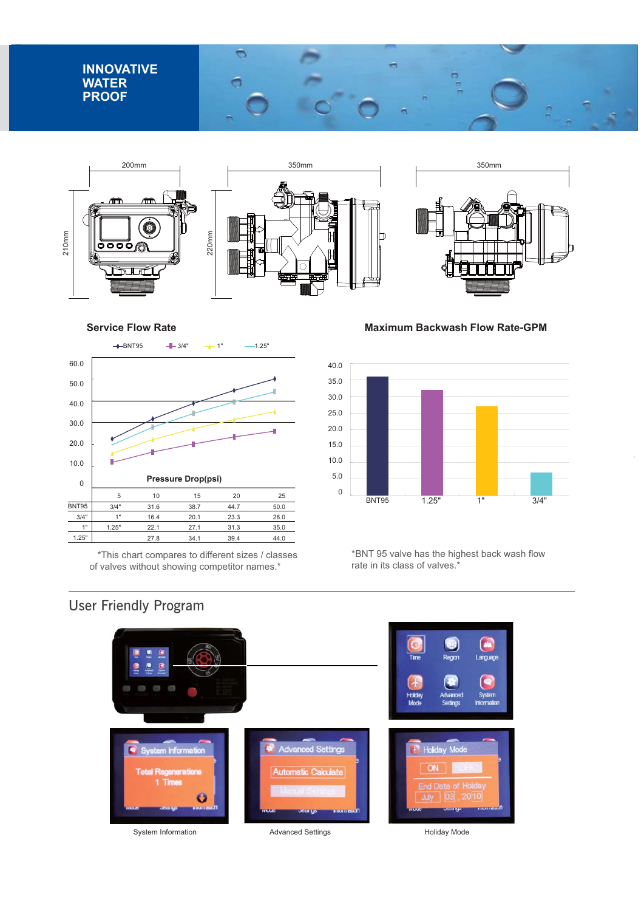







 $\bar{1}$ 

**Service Flow Rate** 



\*This chart compares to different sizes / classes of valves without showing competitor names.\*

**Maximum Backwash Flow Rate-GPM** 



\*BNT 95 valve has the highest back wash flow rate in its class of valves.<sup>\*</sup>

#### **User Friendly Program**



System Information